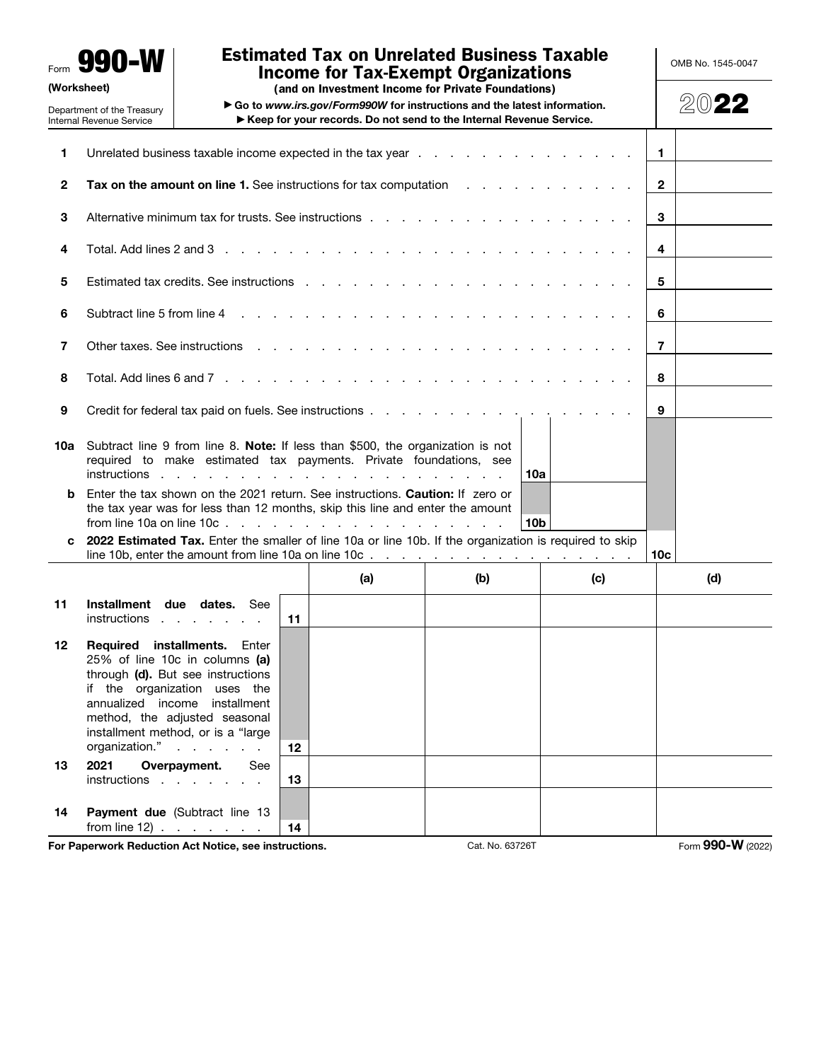Form 990-W (Worksheet)

Department of the Treasury

# Estimated Tax on Unrelated Business Taxable Income for Tax-Exempt Organizations

OMB No. 1545-0047

(and on Investment Income for Private Foundations)

▶ Go to *www.irs.gov/Form990W* for instructions and the latest information. ▶ Keep for your records. Do not send to the Internal Revenue Service.

2022

|              | Internal Revenue Service                                                                                                                                   |                                                                                                                                                     |    | ▶ Keep for your records. Do not send to the Internal Revenue Service.                                                                                                                                                         |     |                                                                                                                                                                                                                                |                 |     |
|--------------|------------------------------------------------------------------------------------------------------------------------------------------------------------|-----------------------------------------------------------------------------------------------------------------------------------------------------|----|-------------------------------------------------------------------------------------------------------------------------------------------------------------------------------------------------------------------------------|-----|--------------------------------------------------------------------------------------------------------------------------------------------------------------------------------------------------------------------------------|-----------------|-----|
| 1            |                                                                                                                                                            |                                                                                                                                                     |    |                                                                                                                                                                                                                               |     | Unrelated business taxable income expected in the tax year entitled as a set of the state of the state of the tax year and the state of the state of the state of the state of the state of the state of the state of the stat | $\mathbf{1}$    |     |
| $\mathbf{2}$ | $\mathbf{2}$<br><b>Tax on the amount on line 1.</b> See instructions for tax computation                                                                   |                                                                                                                                                     |    |                                                                                                                                                                                                                               |     |                                                                                                                                                                                                                                |                 |     |
| 3            |                                                                                                                                                            |                                                                                                                                                     |    |                                                                                                                                                                                                                               |     |                                                                                                                                                                                                                                | 3               |     |
| 4            |                                                                                                                                                            |                                                                                                                                                     |    | Total. Add lines 2 and 3 $\ldots$ $\ldots$ $\ldots$ $\ldots$ $\ldots$ $\ldots$ $\ldots$ $\ldots$ $\ldots$ $\ldots$ $\ldots$                                                                                                   |     |                                                                                                                                                                                                                                | 4               |     |
| 5            |                                                                                                                                                            |                                                                                                                                                     |    |                                                                                                                                                                                                                               |     |                                                                                                                                                                                                                                | 5               |     |
| 6            |                                                                                                                                                            |                                                                                                                                                     |    |                                                                                                                                                                                                                               |     |                                                                                                                                                                                                                                | 6               |     |
| 7            |                                                                                                                                                            |                                                                                                                                                     |    | Other taxes. See instructions response to the contract of the contract of the contract of the contract of the contract of the contract of the contract of the contract of the contract of the contract of the contract of the |     |                                                                                                                                                                                                                                | $\overline{7}$  |     |
| 8            |                                                                                                                                                            |                                                                                                                                                     |    |                                                                                                                                                                                                                               |     |                                                                                                                                                                                                                                | 8               |     |
| 9            |                                                                                                                                                            |                                                                                                                                                     |    |                                                                                                                                                                                                                               |     |                                                                                                                                                                                                                                | 9               |     |
| 10a          | Subtract line 9 from line 8. Note: If less than \$500, the organization is not<br>required to make estimated tax payments. Private foundations, see<br>10a |                                                                                                                                                     |    |                                                                                                                                                                                                                               |     |                                                                                                                                                                                                                                |                 |     |
| b<br>c       |                                                                                                                                                            |                                                                                                                                                     |    | Enter the tax shown on the 2021 return. See instructions. Caution: If zero or<br>the tax year was for less than 12 months, skip this line and enter the amount                                                                |     | 10b<br>2022 Estimated Tax. Enter the smaller of line 10a or line 10b. If the organization is required to skip                                                                                                                  |                 |     |
|              |                                                                                                                                                            |                                                                                                                                                     |    |                                                                                                                                                                                                                               |     | line 10b, enter the amount from line 10a on line 10c. $\ldots$ , $\ldots$ , $\ldots$ , $\ldots$ , $\ldots$ , $\ldots$                                                                                                          | 10 <sub>c</sub> |     |
|              |                                                                                                                                                            |                                                                                                                                                     |    | (a)                                                                                                                                                                                                                           | (b) | (c)                                                                                                                                                                                                                            |                 | (d) |
| 11           | instructions                                                                                                                                               | Installment due dates. See                                                                                                                          | 11 |                                                                                                                                                                                                                               |     |                                                                                                                                                                                                                                |                 |     |
| 12           | Required installments.<br>if the organization uses the<br>method, the adjusted seasonal<br>organization."                                                  | Enter<br>25% of line 10c in columns (a)<br>through (d). But see instructions<br>annualized income installment<br>installment method, or is a "large | 12 |                                                                                                                                                                                                                               |     |                                                                                                                                                                                                                                |                 |     |
| 13           | 2021<br>instructions                                                                                                                                       | Overpayment.<br>See                                                                                                                                 | 13 |                                                                                                                                                                                                                               |     |                                                                                                                                                                                                                                |                 |     |
| 14           | from line 12) $\ldots$ $\ldots$ $\ldots$                                                                                                                   | Payment due (Subtract line 13                                                                                                                       | 14 |                                                                                                                                                                                                                               |     |                                                                                                                                                                                                                                |                 |     |

For Paperwork Reduction Act Notice, see instructions. Cat. No. 63726T Form 990-W (2022)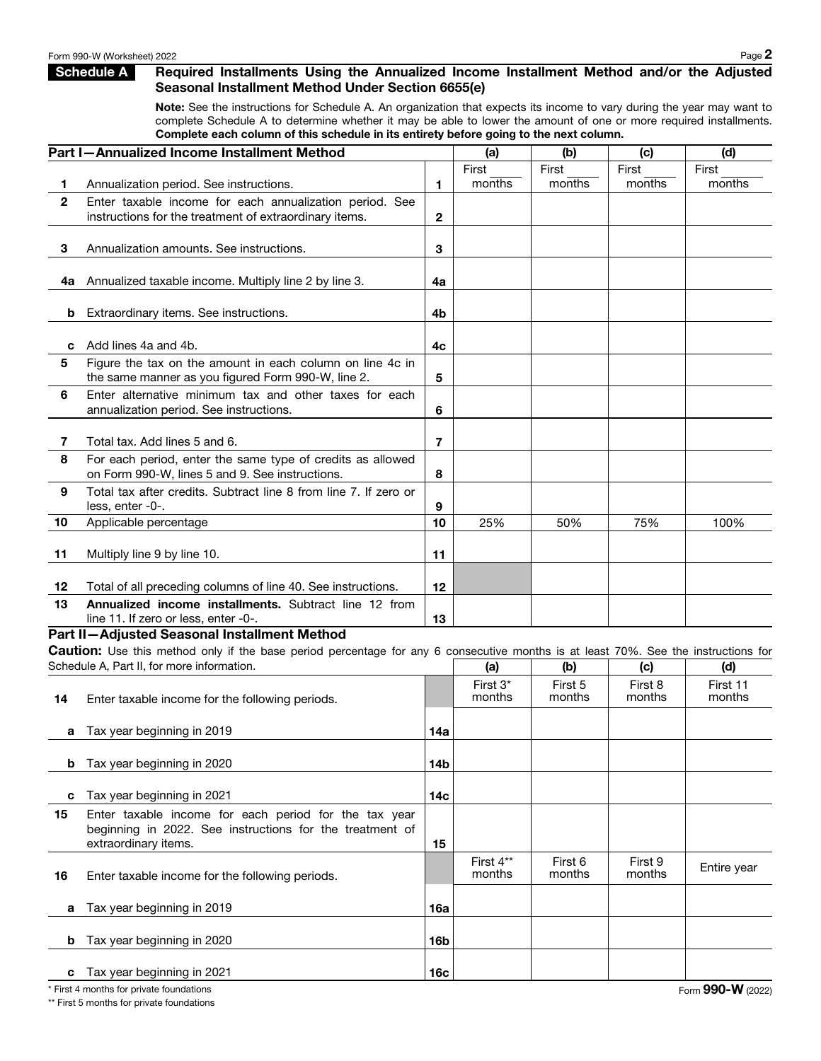## Schedule A Required Installments Using the Annualized Income Installment Method and/or the Adjusted Seasonal Installment Method Under Section 6655(e)

Note: See the instructions for Schedule A. An organization that expects its income to vary during the year may want to complete Schedule A to determine whether it may be able to lower the amount of one or more required installments. Complete each column of this schedule in its entirety before going to the next column.

|              | Part I-Annualized Income Installment Method                                                                                        |                 | (a)                | (b)               | (c)               | (d)                |
|--------------|------------------------------------------------------------------------------------------------------------------------------------|-----------------|--------------------|-------------------|-------------------|--------------------|
|              |                                                                                                                                    |                 | First              | First             | First             | First              |
| 1.           | Annualization period. See instructions.                                                                                            | 1.              | months             | months            | months            | months             |
| $\mathbf{2}$ | Enter taxable income for each annualization period. See                                                                            |                 |                    |                   |                   |                    |
|              | instructions for the treatment of extraordinary items.                                                                             | $\mathbf{2}$    |                    |                   |                   |                    |
| 3            | Annualization amounts. See instructions.                                                                                           | 3               |                    |                   |                   |                    |
|              |                                                                                                                                    |                 |                    |                   |                   |                    |
| 4а           | Annualized taxable income. Multiply line 2 by line 3.                                                                              | 4a              |                    |                   |                   |                    |
|              |                                                                                                                                    |                 |                    |                   |                   |                    |
| b            | Extraordinary items. See instructions.                                                                                             | 4 <sub>b</sub>  |                    |                   |                   |                    |
|              |                                                                                                                                    |                 |                    |                   |                   |                    |
| c<br>5       | Add lines 4a and 4b.<br>Figure the tax on the amount in each column on line 4c in                                                  | 4c              |                    |                   |                   |                    |
|              | the same manner as you figured Form 990-W, line 2.                                                                                 | 5               |                    |                   |                   |                    |
| 6            | Enter alternative minimum tax and other taxes for each                                                                             |                 |                    |                   |                   |                    |
|              | annualization period. See instructions.                                                                                            | 6               |                    |                   |                   |                    |
|              |                                                                                                                                    |                 |                    |                   |                   |                    |
| 7            | Total tax. Add lines 5 and 6.                                                                                                      | 7               |                    |                   |                   |                    |
| 8            | For each period, enter the same type of credits as allowed                                                                         |                 |                    |                   |                   |                    |
| 9            | on Form 990-W, lines 5 and 9. See instructions.<br>Total tax after credits. Subtract line 8 from line 7. If zero or                | 8               |                    |                   |                   |                    |
|              | less, enter -0-.                                                                                                                   | 9               |                    |                   |                   |                    |
| 10           | Applicable percentage                                                                                                              | 10              | 25%                | 50%               | 75%               | 100%               |
|              |                                                                                                                                    |                 |                    |                   |                   |                    |
| 11           | Multiply line 9 by line 10.                                                                                                        | 11              |                    |                   |                   |                    |
| 12           | Total of all preceding columns of line 40. See instructions.                                                                       | 12              |                    |                   |                   |                    |
| 13           | Annualized income installments. Subtract line 12 from                                                                              |                 |                    |                   |                   |                    |
|              | line 11. If zero or less, enter -0-.                                                                                               | 13              |                    |                   |                   |                    |
|              | Part II-Adjusted Seasonal Installment Method                                                                                       |                 |                    |                   |                   |                    |
|              | Caution: Use this method only if the base period percentage for any 6 consecutive months is at least 70%. See the instructions for |                 |                    |                   |                   |                    |
|              | Schedule A, Part II, for more information.                                                                                         |                 | (a)                | (b)               | (c)               | (d)                |
| 14           | Enter taxable income for the following periods.                                                                                    |                 | First 3*<br>months | First 5<br>months | First 8<br>months | First 11<br>months |
|              |                                                                                                                                    |                 |                    |                   |                   |                    |
| а            | Tax year beginning in 2019                                                                                                         | 14a             |                    |                   |                   |                    |
|              |                                                                                                                                    |                 |                    |                   |                   |                    |
| b            | Tax year beginning in 2020                                                                                                         | 14 <sub>b</sub> |                    |                   |                   |                    |
|              |                                                                                                                                    |                 |                    |                   |                   |                    |
| c            | Tax year beginning in 2021                                                                                                         | 14 <sub>c</sub> |                    |                   |                   |                    |
| 15           | Enter taxable income for each period for the tax year<br>beginning in 2022. See instructions for the treatment of                  |                 |                    |                   |                   |                    |
|              | extraordinary items.                                                                                                               | 15              |                    |                   |                   |                    |
|              |                                                                                                                                    |                 | First 4**          | First 6           | First 9           | Entire year        |
| 16           | Enter taxable income for the following periods.                                                                                    |                 | months             | months            | months            |                    |
|              |                                                                                                                                    |                 |                    |                   |                   |                    |
| a            | Tax year beginning in 2019                                                                                                         | 16a             |                    |                   |                   |                    |
| b            | Tax year beginning in 2020                                                                                                         | 16 <sub>b</sub> |                    |                   |                   |                    |
|              |                                                                                                                                    |                 |                    |                   |                   |                    |
| с            | Tax year beginning in 2021                                                                                                         | 16c             |                    |                   |                   |                    |

\* First 4 months for private foundations

\*\* First 5 months for private foundations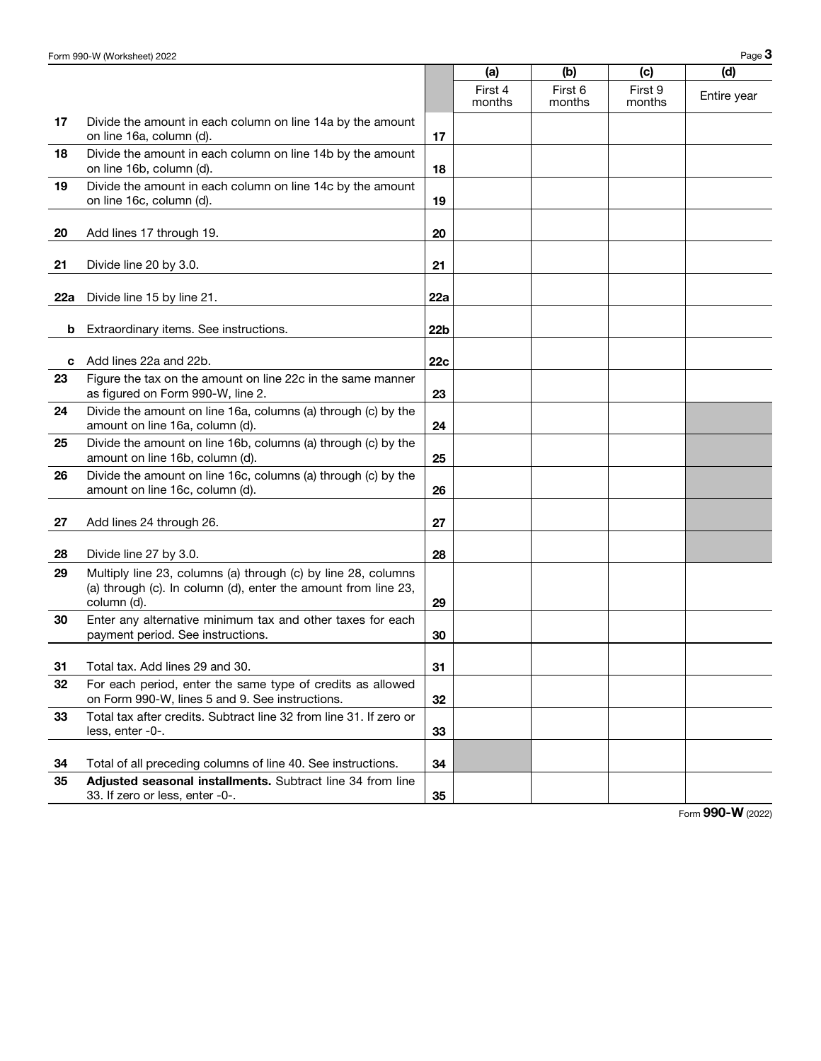|     |                                                                                                                                                |                 | (a)               | (b)               | (c)               | (d)         |
|-----|------------------------------------------------------------------------------------------------------------------------------------------------|-----------------|-------------------|-------------------|-------------------|-------------|
|     |                                                                                                                                                |                 | First 4<br>months | First 6<br>months | First 9<br>months | Entire year |
| 17  | Divide the amount in each column on line 14a by the amount<br>on line 16a, column (d).                                                         | 17              |                   |                   |                   |             |
| 18  | Divide the amount in each column on line 14b by the amount<br>on line 16b, column (d).                                                         | 18              |                   |                   |                   |             |
| 19  | Divide the amount in each column on line 14c by the amount<br>on line 16c, column (d).                                                         | 19              |                   |                   |                   |             |
| 20  | Add lines 17 through 19.                                                                                                                       | 20              |                   |                   |                   |             |
| 21  | Divide line 20 by 3.0.                                                                                                                         | 21              |                   |                   |                   |             |
| 22a | Divide line 15 by line 21.                                                                                                                     | 22a             |                   |                   |                   |             |
| b   | Extraordinary items. See instructions.                                                                                                         | 22 <sub>b</sub> |                   |                   |                   |             |
| c   | Add lines 22a and 22b.                                                                                                                         | 22c             |                   |                   |                   |             |
| 23  | Figure the tax on the amount on line 22c in the same manner<br>as figured on Form 990-W, line 2.                                               | 23              |                   |                   |                   |             |
| 24  | Divide the amount on line 16a, columns (a) through (c) by the<br>amount on line 16a, column (d).                                               | 24              |                   |                   |                   |             |
| 25  | Divide the amount on line 16b, columns (a) through (c) by the<br>amount on line 16b, column (d).                                               | 25              |                   |                   |                   |             |
| 26  | Divide the amount on line 16c, columns (a) through (c) by the<br>amount on line 16c, column (d).                                               | 26              |                   |                   |                   |             |
| 27  | Add lines 24 through 26.                                                                                                                       | 27              |                   |                   |                   |             |
| 28  | Divide line 27 by 3.0.                                                                                                                         | 28              |                   |                   |                   |             |
| 29  | Multiply line 23, columns (a) through (c) by line 28, columns<br>(a) through (c). In column (d), enter the amount from line 23,<br>column (d). | 29              |                   |                   |                   |             |
| 30  | Enter any alternative minimum tax and other taxes for each<br>payment period. See instructions.                                                | 30              |                   |                   |                   |             |
| 31  | Total tax. Add lines 29 and 30.                                                                                                                | 31              |                   |                   |                   |             |
| 32  | For each period, enter the same type of credits as allowed<br>on Form 990-W, lines 5 and 9. See instructions.                                  | 32              |                   |                   |                   |             |
| 33  | Total tax after credits. Subtract line 32 from line 31. If zero or<br>less, enter -0-.                                                         | 33              |                   |                   |                   |             |
| 34  | Total of all preceding columns of line 40. See instructions.                                                                                   | 34              |                   |                   |                   |             |
| 35  | Adjusted seasonal installments. Subtract line 34 from line<br>33. If zero or less, enter -0-.                                                  | 35              |                   |                   |                   |             |

Form 990-W (2022)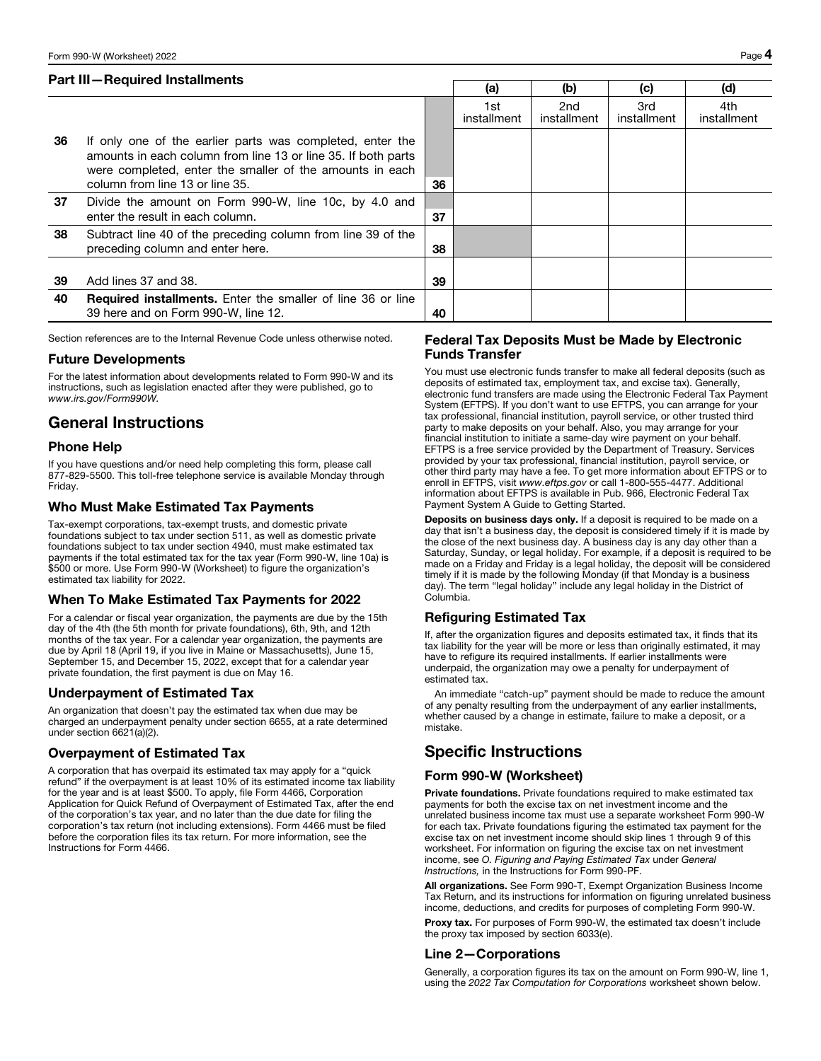## Part III—Required Installments

|    |                                                                                                                                                                                                                           |    | (a)                | (b)                | (c)                | (d)                |
|----|---------------------------------------------------------------------------------------------------------------------------------------------------------------------------------------------------------------------------|----|--------------------|--------------------|--------------------|--------------------|
|    |                                                                                                                                                                                                                           |    | 1st<br>installment | 2nd<br>installment | 3rd<br>installment | 4th<br>installment |
| 36 | If only one of the earlier parts was completed, enter the<br>amounts in each column from line 13 or line 35. If both parts<br>were completed, enter the smaller of the amounts in each<br>column from line 13 or line 35. | 36 |                    |                    |                    |                    |
| 37 | Divide the amount on Form 990-W, line 10c, by 4.0 and<br>enter the result in each column.                                                                                                                                 | 37 |                    |                    |                    |                    |
| 38 | Subtract line 40 of the preceding column from line 39 of the<br>preceding column and enter here.                                                                                                                          | 38 |                    |                    |                    |                    |
| 39 | Add lines 37 and 38.                                                                                                                                                                                                      | 39 |                    |                    |                    |                    |
| 40 | <b>Required installments.</b> Enter the smaller of line 36 or line<br>39 here and on Form 990-W, line 12.                                                                                                                 | 40 |                    |                    |                    |                    |

Section references are to the Internal Revenue Code unless otherwise noted.

## Future Developments

For the latest information about developments related to Form 990-W and its instructions, such as legislation enacted after they were published, go to *www.irs.gov/Form990W.*

# General Instructions

## Phone Help

If you have questions and/or need help completing this form, please call 877-829-5500. This toll-free telephone service is available Monday through Friday.

## Who Must Make Estimated Tax Payments

Tax-exempt corporations, tax-exempt trusts, and domestic private foundations subject to tax under section 511, as well as domestic private foundations subject to tax under section 4940, must make estimated tax payments if the total estimated tax for the tax year (Form 990-W, line 10a) is \$500 or more. Use Form 990-W (Worksheet) to figure the organization's estimated tax liability for 2022.

## When To Make Estimated Tax Payments for 2022

For a calendar or fiscal year organization, the payments are due by the 15th day of the 4th (the 5th month for private foundations), 6th, 9th, and 12th months of the tax year. For a calendar year organization, the payments are due by April 18 (April 19, if you live in Maine or Massachusetts), June 15, September 15, and December 15, 2022, except that for a calendar year private foundation, the first payment is due on May 16.

## Underpayment of Estimated Tax

An organization that doesn't pay the estimated tax when due may be charged an underpayment penalty under section 6655, at a rate determined under section 6621(a)(2).

## Overpayment of Estimated Tax

A corporation that has overpaid its estimated tax may apply for a "quick refund" if the overpayment is at least 10% of its estimated income tax liability for the year and is at least \$500. To apply, file Form 4466, Corporation Application for Quick Refund of Overpayment of Estimated Tax, after the end of the corporation's tax year, and no later than the due date for filing the corporation's tax return (not including extensions). Form 4466 must be filed before the corporation files its tax return. For more information, see the Instructions for Form 4466.

## Federal Tax Deposits Must be Made by Electronic Funds Transfer

You must use electronic funds transfer to make all federal deposits (such as deposits of estimated tax, employment tax, and excise tax). Generally, electronic fund transfers are made using the Electronic Federal Tax Payment System (EFTPS). If you don't want to use EFTPS, you can arrange for your tax professional, financial institution, payroll service, or other trusted third party to make deposits on your behalf. Also, you may arrange for your financial institution to initiate a same-day wire payment on your behalf. EFTPS is a free service provided by the Department of Treasury. Services provided by your tax professional, financial institution, payroll service, or other third party may have a fee. To get more information about EFTPS or to enroll in EFTPS, visit *www.eftps.gov* or call 1-800-555-4477. Additional information about EFTPS is available in Pub. 966, Electronic Federal Tax Payment System A Guide to Getting Started.

Deposits on business days only. If a deposit is required to be made on a day that isn't a business day, the deposit is considered timely if it is made by the close of the next business day. A business day is any day other than a Saturday, Sunday, or legal holiday. For example, if a deposit is required to be made on a Friday and Friday is a legal holiday, the deposit will be considered timely if it is made by the following Monday (if that Monday is a business day). The term "legal holiday" include any legal holiday in the District of Columbia.

## Refiguring Estimated Tax

If, after the organization figures and deposits estimated tax, it finds that its tax liability for the year will be more or less than originally estimated, it may have to refigure its required installments. If earlier installments were underpaid, the organization may owe a penalty for underpayment of estimated tax.

An immediate "catch-up" payment should be made to reduce the amount of any penalty resulting from the underpayment of any earlier installments, whether caused by a change in estimate, failure to make a deposit, or a mistake.

# Specific Instructions

## Form 990-W (Worksheet)

Private foundations. Private foundations required to make estimated tax payments for both the excise tax on net investment income and the unrelated business income tax must use a separate worksheet Form 990-W for each tax. Private foundations figuring the estimated tax payment for the excise tax on net investment income should skip lines 1 through 9 of this worksheet. For information on figuring the excise tax on net investment income, see *O. Figuring and Paying Estimated Tax* under *General Instructions,* in the Instructions for Form 990-PF.

All organizations. See Form 990-T, Exempt Organization Business Income Tax Return, and its instructions for information on figuring unrelated business income, deductions, and credits for purposes of completing Form 990-W.

Proxy tax. For purposes of Form 990-W, the estimated tax doesn't include the proxy tax imposed by section 6033(e).

## Line 2—Corporations

Generally, a corporation figures its tax on the amount on Form 990-W, line 1, using the *2022 Tax Computation for Corporations* worksheet shown below.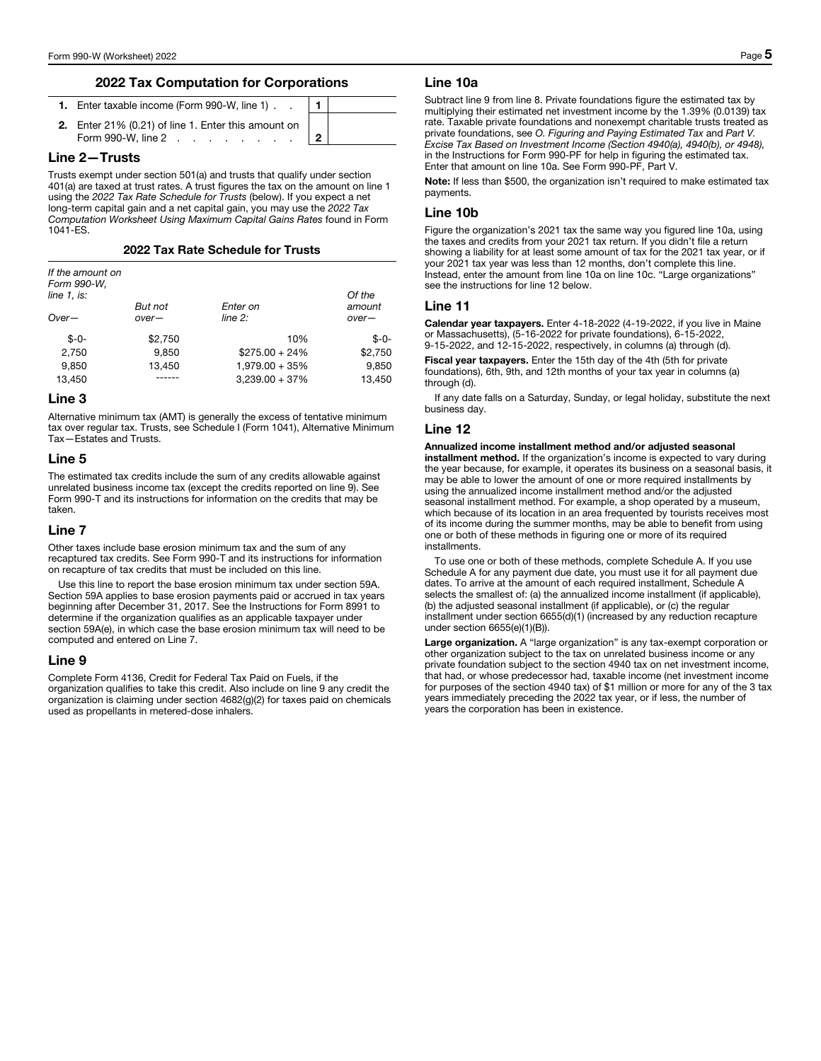## 2022 Tax Computation for Corporations

| 1. Enter taxable income (Form 990-W, line 1)                |  |
|-------------------------------------------------------------|--|
| 2. Enter 21% (0.21) of line 1. Enter this amount on $\vert$ |  |
| Form 990-W, line 2   2                                      |  |

## Line 2—Trusts

Trusts exempt under section 501(a) and trusts that qualify under section 401(a) are taxed at trust rates. A trust figures the tax on the amount on line 1 using the *2022 Tax Rate Schedule for Trusts* (below). If you expect a net long-term capital gain and a net capital gain, you may use the *2022 Tax Computation Worksheet Using Maximum Capital Gains Rates* found in Form 1041-ES.

#### 2022 Tax Rate Schedule for Trusts

| If the amount on<br>Form 990-W, |         |                   |         |
|---------------------------------|---------|-------------------|---------|
| line 1, is:                     |         |                   | Of the  |
|                                 | But not | Enter on          | amount  |
| $Over-$                         | $over-$ | $line 2$ :        | $over-$ |
| $$ -0-$                         | \$2,750 | 10%               | $$ -0-$ |
| 2,750                           | 9.850   | $$275.00 + 24\%$  | \$2,750 |
| 9.850                           | 13,450  | $1,979.00 + 35\%$ | 9.850   |
| 13.450                          |         | $3,239.00 + 37\%$ | 13.450  |

## Line 3

Alternative minimum tax (AMT) is generally the excess of tentative minimum tax over regular tax. Trusts, see Schedule I (Form 1041), Alternative Minimum Tax—Estates and Trusts.

#### Line 5

The estimated tax credits include the sum of any credits allowable against unrelated business income tax (except the credits reported on line 9). See Form 990-T and its instructions for information on the credits that may be taken.

#### Line 7

Other taxes include base erosion minimum tax and the sum of any recaptured tax credits. See Form 990-T and its instructions for information on recapture of tax credits that must be included on this line.

Use this line to report the base erosion minimum tax under section 59A. Section 59A applies to base erosion payments paid or accrued in tax years beginning after December 31, 2017. See the Instructions for Form 8991 to determine if the organization qualifies as an applicable taxpayer under section 59A(e), in which case the base erosion minimum tax will need to be computed and entered on Line 7.

#### Line 9

Complete Form 4136, Credit for Federal Tax Paid on Fuels, if the organization qualifies to take this credit. Also include on line 9 any credit the organization is claiming under section 4682(g)(2) for taxes paid on chemicals used as propellants in metered-dose inhalers.

#### Line 10a

Subtract line 9 from line 8. Private foundations figure the estimated tax by multiplying their estimated net investment income by the 1.39% (0.0139) tax rate. Taxable private foundations and nonexempt charitable trusts treated as private foundations, see *O. Figuring and Paying Estimated Tax* and *Part V. Excise Tax Based on Investment Income (Section 4940(a), 4940(b), or 4948),*  in the Instructions for Form 990-PF for help in figuring the estimated tax. Enter that amount on line 10a. See Form 990-PF, Part V.

Note: If less than \$500, the organization isn't required to make estimated tax payments.

## Line 10b

Figure the organization's 2021 tax the same way you figured line 10a, using the taxes and credits from your 2021 tax return. If you didn't file a return showing a liability for at least some amount of tax for the 2021 tax year, or if your 2021 tax year was less than 12 months, don't complete this line. Instead, enter the amount from line 10a on line 10c. "Large organizations" see the instructions for line 12 below.

#### Line 11

Calendar year taxpayers. Enter 4-18-2022 (4-19-2022, if you live in Maine or Massachusetts), (5-16-2022 for private foundations), 6-15-2022, 9-15-2022, and 12-15-2022, respectively, in columns (a) through (d).

Fiscal year taxpayers. Enter the 15th day of the 4th (5th for private foundations), 6th, 9th, and 12th months of your tax year in columns (a) through (d).

If any date falls on a Saturday, Sunday, or legal holiday, substitute the next business day.

## Line 12

Annualized income installment method and/or adjusted seasonal installment method. If the organization's income is expected to vary during the year because, for example, it operates its business on a seasonal basis, it may be able to lower the amount of one or more required installments by using the annualized income installment method and/or the adjusted seasonal installment method. For example, a shop operated by a museum, which because of its location in an area frequented by tourists receives most of its income during the summer months, may be able to benefit from using one or both of these methods in figuring one or more of its required installments.

To use one or both of these methods, complete Schedule A. If you use Schedule A for any payment due date, you must use it for all payment due dates. To arrive at the amount of each required installment, Schedule A selects the smallest of: (a) the annualized income installment (if applicable), (b) the adjusted seasonal installment (if applicable), or (c) the regular installment under section 6655(d)(1) (increased by any reduction recapture under section 6655(e)(1)(B)).

Large organization. A "large organization" is any tax-exempt corporation or other organization subject to the tax on unrelated business income or any private foundation subject to the section 4940 tax on net investment income, that had, or whose predecessor had, taxable income (net investment income for purposes of the section 4940 tax) of \$1 million or more for any of the 3 tax years immediately preceding the 2022 tax year, or if less, the number of years the corporation has been in existence.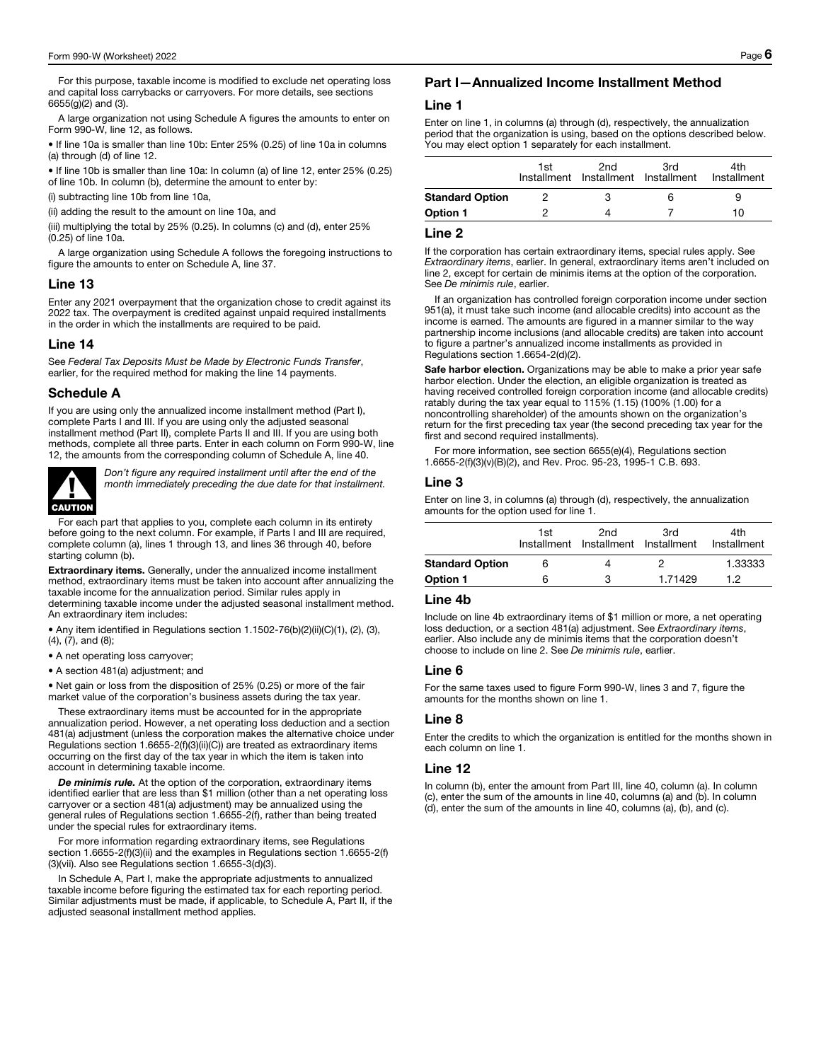For this purpose, taxable income is modified to exclude net operating loss and capital loss carrybacks or carryovers. For more details, see sections 6655(g)(2) and (3).

A large organization not using Schedule A figures the amounts to enter on Form 990-W, line 12, as follows.

• If line 10a is smaller than line 10b: Enter 25% (0.25) of line 10a in columns (a) through (d) of line 12.

• If line 10b is smaller than line 10a: In column (a) of line 12, enter 25% (0.25) of line 10b. In column (b), determine the amount to enter by:

(i) subtracting line 10b from line 10a,

(ii) adding the result to the amount on line 10a, and

(iii) multiplying the total by 25% (0.25). In columns (c) and (d), enter 25% (0.25) of line 10a.

A large organization using Schedule A follows the foregoing instructions to figure the amounts to enter on Schedule A, line 37.

#### Line 13

Enter any 2021 overpayment that the organization chose to credit against its 2022 tax. The overpayment is credited against unpaid required installments in the order in which the installments are required to be paid.

## Line 14

See *Federal Tax Deposits Must be Made by Electronic Funds Transfer*, earlier, for the required method for making the line 14 payments.

#### Schedule A

If you are using only the annualized income installment method (Part I), complete Parts I and III. If you are using only the adjusted seasonal installment method (Part II), complete Parts II and III. If you are using both methods, complete all three parts. Enter in each column on Form 990-W, line 12, the amounts from the corresponding column of Schedule A, line 40.



*Don't figure any required installment until after the end of the month immediately preceding the due date for that installment.*

For each part that applies to you, complete each column in its entirety before going to the next column. For example, if Parts I and III are required, complete column (a), lines 1 through 13, and lines 36 through 40, before starting column (b).

Extraordinary items. Generally, under the annualized income installment method, extraordinary items must be taken into account after annualizing the taxable income for the annualization period. Similar rules apply in determining taxable income under the adjusted seasonal installment method. An extraordinary item includes:

• Any item identified in Regulations section 1.1502-76(b)(2)(ii)(C)(1), (2), (3), (4), (7), and (8);

• A net operating loss carryover;

• A section 481(a) adjustment; and

• Net gain or loss from the disposition of 25% (0.25) or more of the fair market value of the corporation's business assets during the tax year.

These extraordinary items must be accounted for in the appropriate annualization period. However, a net operating loss deduction and a section 481(a) adjustment (unless the corporation makes the alternative choice under Regulations section 1.6655-2(f)(3)(ii)(C)) are treated as extraordinary items occurring on the first day of the tax year in which the item is taken into account in determining taxable income.

*De minimis rule.* At the option of the corporation, extraordinary items identified earlier that are less than \$1 million (other than a net operating loss carryover or a section 481(a) adjustment) may be annualized using the general rules of Regulations section 1.6655-2(f), rather than being treated under the special rules for extraordinary items.

For more information regarding extraordinary items, see Regulations section 1.6655-2(f)(3)(ii) and the examples in Regulations section 1.6655-2(f) (3)(vii). Also see Regulations section 1.6655-3(d)(3).

In Schedule A, Part I, make the appropriate adjustments to annualized taxable income before figuring the estimated tax for each reporting period. Similar adjustments must be made, if applicable, to Schedule A, Part II, if the adjusted seasonal installment method applies.

## Part I—Annualized Income Installment Method

#### Line 1

Enter on line 1, in columns (a) through (d), respectively, the annualization period that the organization is using, based on the options described below. You may elect option 1 separately for each installment.

|                        | 1st | 2nd<br>Installment Installment Installment | 3rd | 4th<br>Installment |
|------------------------|-----|--------------------------------------------|-----|--------------------|
| <b>Standard Option</b> |     |                                            |     | 9                  |
| Option 1               |     |                                            |     | 10                 |

## Line 2

If the corporation has certain extraordinary items, special rules apply. See *Extraordinary items*, earlier. In general, extraordinary items aren't included on line 2, except for certain de minimis items at the option of the corporation. See *De minimis rule*, earlier.

If an organization has controlled foreign corporation income under section 951(a), it must take such income (and allocable credits) into account as the income is earned. The amounts are figured in a manner similar to the way partnership income inclusions (and allocable credits) are taken into account to figure a partner's annualized income installments as provided in Regulations section 1.6654-2(d)(2).

Safe harbor election. Organizations may be able to make a prior year safe harbor election. Under the election, an eligible organization is treated as having received controlled foreign corporation income (and allocable credits) ratably during the tax year equal to 115% (1.15) (100% (1.00) for a noncontrolling shareholder) of the amounts shown on the organization's return for the first preceding tax year (the second preceding tax year for the first and second required installments).

For more information, see section 6655(e)(4), Regulations section 1.6655-2(f)(3)(v)(B)(2), and Rev. Proc. 95-23, 1995-1 C.B. 693.

#### Line 3

Enter on line 3, in columns (a) through (d), respectively, the annualization amounts for the option used for line 1.

|                        | 1st | 2nd<br>Installment Installment Installment | 3rd     | 4th<br>Installment |
|------------------------|-----|--------------------------------------------|---------|--------------------|
| <b>Standard Option</b> | 6   |                                            |         | 1.33333            |
| <b>Option 1</b>        | 6   | ຈ                                          | 1.71429 | 19                 |

#### Line 4b

Include on line 4b extraordinary items of \$1 million or more, a net operating loss deduction, or a section 481(a) adjustment. See *Extraordinary items*, earlier. Also include any de minimis items that the corporation doesn't choose to include on line 2. See *De minimis rule*, earlier.

## Line 6

For the same taxes used to figure Form 990-W, lines 3 and 7, figure the amounts for the months shown on line 1.

## Line 8

Enter the credits to which the organization is entitled for the months shown in each column on line 1.

## Line 12

In column (b), enter the amount from Part III, line 40, column (a). In column (c), enter the sum of the amounts in line 40, columns (a) and (b). In column (d), enter the sum of the amounts in line 40, columns (a), (b), and (c).